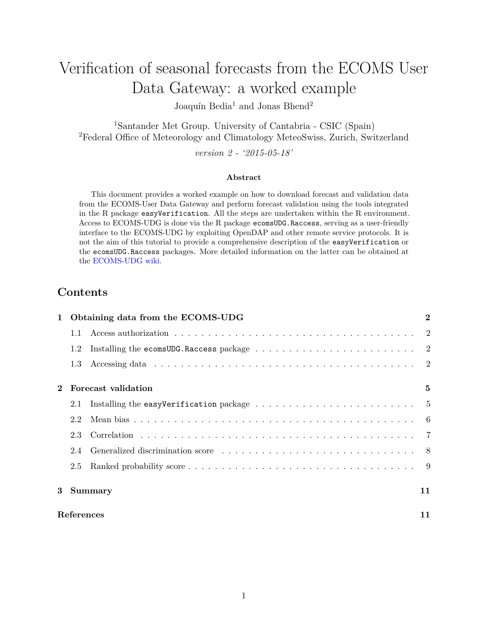# Verification of seasonal forecasts from the ECOMS User Data Gateway: a worked example

Joaquín Bedia<sup>1</sup> and Jonas Bhend<sup>2</sup>

<sup>1</sup>Santander Met Group. University of Cantabria - CSIC (Spain) <sup>2</sup>Federal Office of Meteorology and Climatology MeteoSwiss, Zurich, Switzerland

*version 2 - '2015-05-18'*

#### **Abstract**

This document provides a worked example on how to download forecast and validation data from the ECOMS-User Data Gateway and perform forecast validation using the tools integrated in the R package easyVerification. All the steps are undertaken within the R environment. Access to ECOMS-UDG is done via the R package ecomsUDG.Raccess, serving as a user-friendly interface to the ECOMS-UDG by exploiting OpenDAP and other remote service protocols. It is not the aim of this tutorial to provide a comprehensive description of the easyVerification or the ecomsUDG.Raccess packages. More detailed information on the latter can be obtained at the [ECOMS-UDG wiki.](http://meteo.unican.es/trac/wiki/udg/ecoms)

# **Contents**

|            | Obtaining data from the ECOMS-UDG |                                                                                                                                                                                                                                |    |
|------------|-----------------------------------|--------------------------------------------------------------------------------------------------------------------------------------------------------------------------------------------------------------------------------|----|
|            | 1.1                               |                                                                                                                                                                                                                                |    |
|            | 1.2                               | Installing the ecomsUDG.Raccess package $\ldots \ldots \ldots \ldots \ldots \ldots \ldots \ldots \ldots 2$                                                                                                                     |    |
|            | 1.3                               | Accessing data responses to the contract of the contract of the contract of the contract of the contract of the contract of the contract of the contract of the contract of the contract of the contract of the contract of th |    |
|            | Forecast validation               |                                                                                                                                                                                                                                | 5  |
|            | 2.1                               |                                                                                                                                                                                                                                |    |
|            | 2.2                               |                                                                                                                                                                                                                                |    |
|            | 2.3                               |                                                                                                                                                                                                                                |    |
|            | 2.4                               | Generalized discrimination score expansion of the set of the set of the set of the set of the set of the set of the set of the set of the set of the set of the set of the set of the set of the set of the set of the set of  |    |
|            | 2.5                               |                                                                                                                                                                                                                                |    |
| 3          | <b>Summary</b>                    |                                                                                                                                                                                                                                | 11 |
| References |                                   |                                                                                                                                                                                                                                | 11 |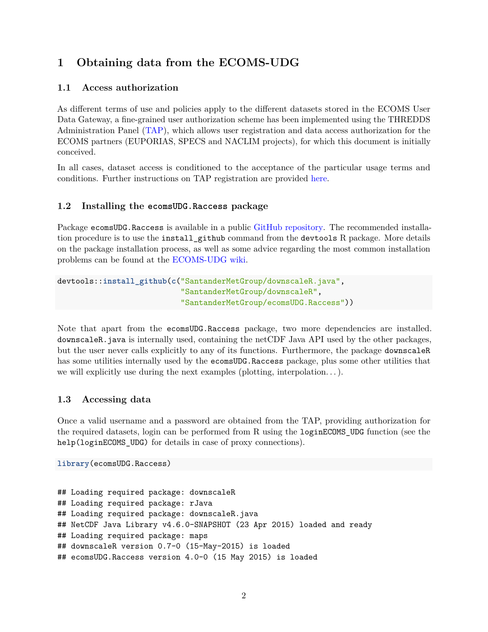# <span id="page-1-0"></span>**1 Obtaining data from the ECOMS-UDG**

# <span id="page-1-1"></span>**1.1 Access authorization**

As different terms of use and policies apply to the different datasets stored in the ECOMS User Data Gateway, a fine-grained user authorization scheme has been implemented using the THREDDS Administration Panel [\(TAP\)](http://meteo.unican.es/tap/), which allows user registration and data access authorization for the ECOMS partners (EUPORIAS, SPECS and NACLIM projects), for which this document is initially conceived.

In all cases, dataset access is conditioned to the acceptance of the particular usage terms and conditions. Further instructions on TAP registration are provided [here.](http://meteo.unican.es/trac/wiki/udg/registration)

#### <span id="page-1-2"></span>**1.2 Installing the ecomsUDG.Raccess package**

Package ecomsUDG.Raccess is available in a public [GitHub repository.](https://github.com/SantanderMetGroup/ecomsUDG.Raccess) The recommended installation procedure is to use the install github command from the devtools R package. More details on the package installation process, as well as some advice regarding the most common installation problems can be found at the [ECOMS-UDG wiki.](http://meteo.unican.es/trac/wiki/udg/ecoms/RPackage/versions)

```
devtools::install_github(c("SantanderMetGroup/downscaleR.java",
                           "SantanderMetGroup/downscaleR",
                           "SantanderMetGroup/ecomsUDG.Raccess"))
```
Note that apart from the ecomsUDG.Raccess package, two more dependencies are installed. downscaleR.java is internally used, containing the netCDF Java API used by the other packages, but the user never calls explicitly to any of its functions. Furthermore, the package downscaleR has some utilities internally used by the ecomsUDG.Raccess package, plus some other utilities that we will explicitly use during the next examples (plotting, interpolation. . . ).

# <span id="page-1-3"></span>**1.3 Accessing data**

Once a valid username and a password are obtained from the TAP, providing authorization for the required datasets, login can be performed from R using the loginECOMS\_UDG function (see the help(loginECOMS\_UDG) for details in case of proxy connections).

```
library(ecomsUDG.Raccess)
```

```
## Loading required package: downscaleR
## Loading required package: rJava
## Loading required package: downscaleR.java
## NetCDF Java Library v4.6.0-SNAPSHOT (23 Apr 2015) loaded and ready
## Loading required package: maps
## downscaleR version 0.7-0 (15-May-2015) is loaded
## ecomsUDG.Raccess version 4.0-0 (15 May 2015) is loaded
```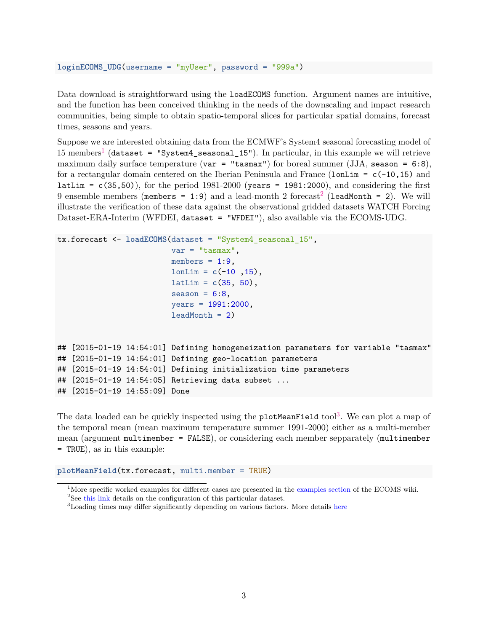#### **loginECOMS\_UDG**(username = "myUser", password = "999a")

Data download is straightforward using the **loadECOMS** function. Argument names are intuitive, and the function has been conceived thinking in the needs of the downscaling and impact research communities, being simple to obtain spatio-temporal slices for particular spatial domains, forecast times, seasons and years.

Suppose we are interested obtaining data from the ECMWF's System4 seasonal forecasting model of [1](#page-2-0)5 members<sup>1</sup> (dataset = "System4\_seasonal\_15"). In particular, in this example we will retrieve maximum daily surface temperature (var = "tasmax") for boreal summer (JJA, season =  $6:8$ ), for a rectangular domain centered on the Iberian Peninsula and France ( $l$ onLim =  $c(-10,15)$  and latLim =  $c(35,50)$ , for the period 1981-2000 (years = 1981:2000), and considering the first 9 ensemble members (members = 1:9) and a lead-month [2](#page-2-1) forecast<sup>2</sup> (leadMonth = 2). We will illustrate the verification of these data against the observational gridded datasets WATCH Forcing Dataset-ERA-Interim (WFDEI, dataset = "WFDEI"), also available via the ECOMS-UDG.

```
tx.forecast <- loadECOMS(dataset = "System4_seasonal_15",
                         var = "tasmax",
                         members = 1:9,
                         lonLim = c(-10, 15),
                         latLim = c(35, 50),
                         season = 6:8,
                         years = 1991:2000,leadMonth = 2)## [2015-01-19 14:54:01] Defining homogeneization parameters for variable "tasmax"
## [2015-01-19 14:54:01] Defining geo-location parameters
## [2015-01-19 14:54:01] Defining initialization time parameters
## [2015-01-19 14:54:05] Retrieving data subset ...
## [2015-01-19 14:55:09] Done
```
The data loaded can be quickly inspected using the  $\texttt{plotMeanField}$  tool<sup>[3](#page-2-2)</sup>. We can plot a map of the temporal mean (mean maximum temperature summer 1991-2000) either as a multi-member mean (argument multimember = FALSE), or considering each member sepparately (multimember = TRUE), as in this example:

**plotMeanField**(tx.forecast, multi.member = TRUE)

<span id="page-2-0"></span><sup>&</sup>lt;sup>1</sup>More specific worked examples for different cases are presented in the [examples section](http://meteo.unican.es/trac/wiki/udg/ecoms/RPackage/examples) of the ECOMS wiki.

<span id="page-2-1"></span><sup>&</sup>lt;sup>2</sup>See [this link](http://meteo.unican.es/trac/wiki/udg/ecoms/dataserver/datasets) details on the configuration of this particular dataset.

<span id="page-2-2"></span><sup>3</sup>Loading times may differ significantly depending on various factors. More details [here](http://meteo.unican.es/trac/wiki/udg/ecoms/RPackage/examples#Introductionandusagerecommendations)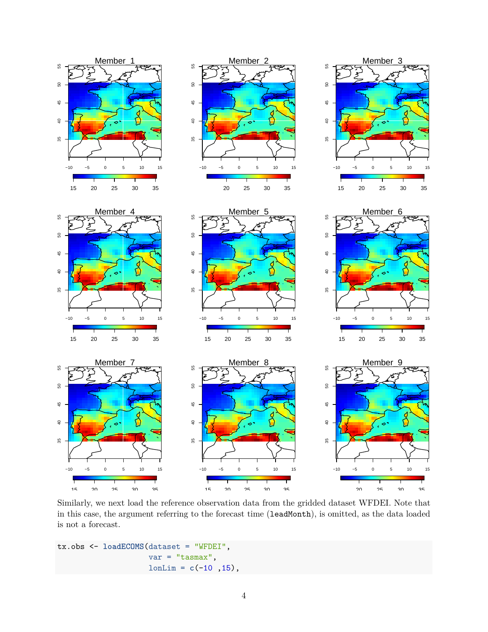

Similarly, we next load the reference observation data from the gridded dataset WFDEI. Note that in this case, the argument referring to the forecast time (leadMonth), is omitted, as the data loaded is not a forecast.

```
tx.obs <- loadECOMS(dataset = "WFDEI",
                    var = "tasmax",
                    lonLim = c(-10 ,15),
```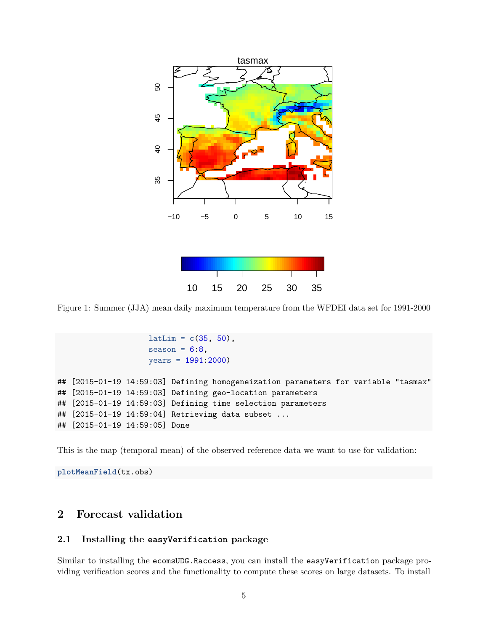

Figure 1: Summer (JJA) mean daily maximum temperature from the WFDEI data set for 1991-2000

```
latLim = c(35, 50),
                    season = 6:8,
                    years = 1991:2000)
## [2015-01-19 14:59:03] Defining homogeneization parameters for variable "tasmax"
## [2015-01-19 14:59:03] Defining geo-location parameters
## [2015-01-19 14:59:03] Defining time selection parameters
## [2015-01-19 14:59:04] Retrieving data subset ...
## [2015-01-19 14:59:05] Done
```
This is the map (temporal mean) of the observed reference data we want to use for validation:

**plotMeanField**(tx.obs)

# <span id="page-4-0"></span>**2 Forecast validation**

#### <span id="page-4-1"></span>**2.1 Installing the easyVerification package**

Similar to installing the ecomsUDG.Raccess, you can install the easyVerification package providing verification scores and the functionality to compute these scores on large datasets. To install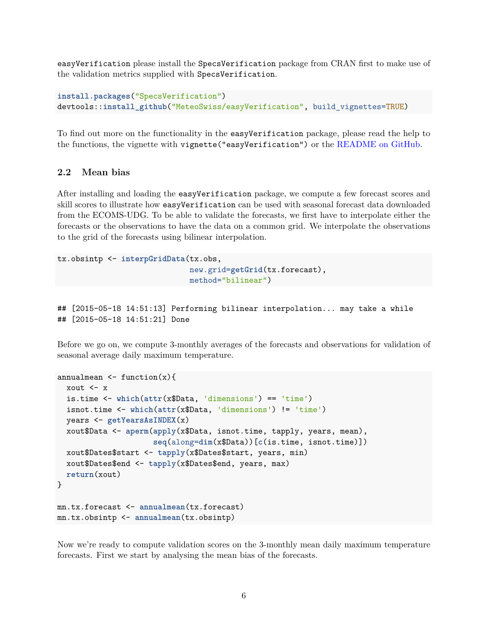easyVerification please install the SpecsVerification package from CRAN first to make use of the validation metrics supplied with SpecsVerification.

```
install.packages("SpecsVerification")
devtools::install_github("MeteoSwiss/easyVerification", build_vignettes=TRUE)
```
To find out more on the functionality in the easyVerification package, please read the help to the functions, the vignette with vignette("easyVerification") or the [README on GitHub.](https://github.com/MeteoSwiss/easyVerification/blob/master/README.md)

# <span id="page-5-0"></span>**2.2 Mean bias**

After installing and loading the easyVerification package, we compute a few forecast scores and skill scores to illustrate how easyVerification can be used with seasonal forecast data downloaded from the ECOMS-UDG. To be able to validate the forecasts, we first have to interpolate either the forecasts or the observations to have the data on a common grid. We interpolate the observations to the grid of the forecasts using bilinear interpolation.

```
tx.obsintp <- interpGridData(tx.obs,
                             new.grid=getGrid(tx.forecast),
                             method="bilinear")
```

```
## [2015-05-18 14:51:13] Performing bilinear interpolation... may take a while
## [2015-05-18 14:51:21] Done
```
Before we go on, we compute 3-monthly averages of the forecasts and observations for validation of seasonal average daily maximum temperature.

```
annualmean \leq function(x){
 xout \leftarrow x
  is.time <- which(attr(x$Data, 'dimensions') == 'time')
  isnot.time <- which(attr(x$Data, 'dimensions') != 'time')
  years <- getYearsAsINDEX(x)
  xout$Data <- aperm(apply(x$Data, isnot.time, tapply, years, mean),
                     seq(along=dim(x$Data))[c(is.time, isnot.time)])
 xout$Dates$start <- tapply(x$Dates$start, years, min)
 xout$Dates$end <- tapply(x$Dates$end, years, max)
 return(xout)
}
mn.tx.forecast <- annualmean(tx.forecast)
mn.tx.obsintp <- annualmean(tx.obsintp)
```
Now we're ready to compute validation scores on the 3-monthly mean daily maximum temperature forecasts. First we start by analysing the mean bias of the forecasts.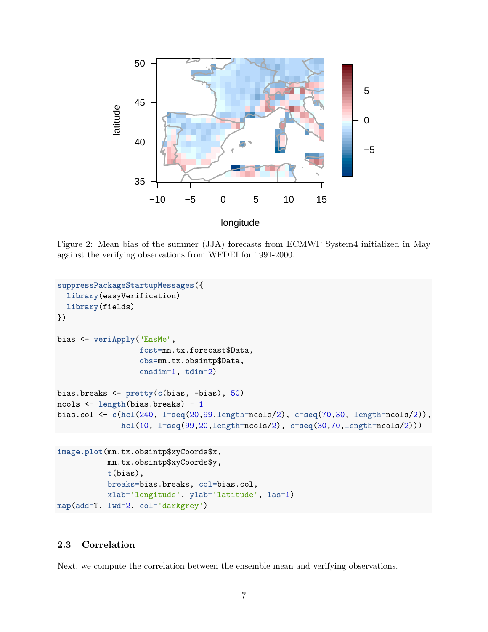

Figure 2: Mean bias of the summer (JJA) forecasts from ECMWF System4 initialized in May against the verifying observations from WFDEI for 1991-2000.

```
suppressPackageStartupMessages({
  library(easyVerification)
  library(fields)
})
bias <- veriApply("EnsMe",
                  fcst=mn.tx.forecast$Data,
                  obs=mn.tx.obsintp$Data,
                  ensdim=1, tdim=2)
bias.breaks <- pretty(c(bias, -bias), 50)
ncols <- length(bias.breaks) - 1
bias.col <- c(hcl(240, l=seq(20,99,length=ncols/2), c=seq(70,30, length=ncols/2)),
              hcl(10, l=seq(99,20,length=ncols/2), c=seq(30,70,length=ncols/2)))
```

```
image.plot(mn.tx.obsintp$xyCoords$x,
           mn.tx.obsintp$xyCoords$y,
           t(bias),
           breaks=bias.breaks, col=bias.col,
           xlab='longitude', ylab='latitude', las=1)
map(add=T, lwd=2, col='darkgrey')
```
# <span id="page-6-0"></span>**2.3 Correlation**

Next, we compute the correlation between the ensemble mean and verifying observations.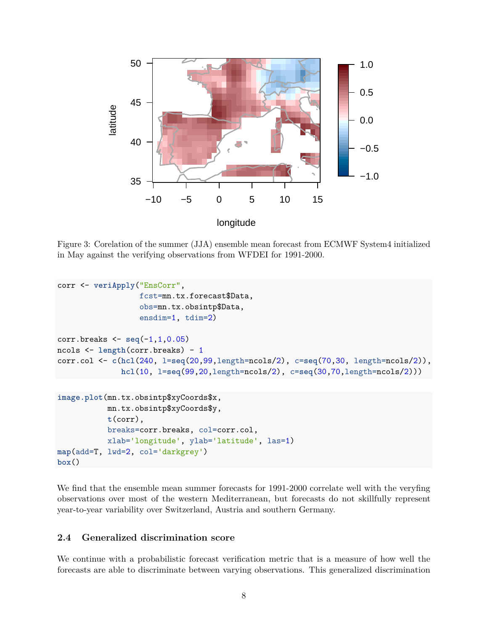

Figure 3: Corelation of the summer (JJA) ensemble mean forecast from ECMWF System4 initialized in May against the verifying observations from WFDEI for 1991-2000.

```
corr <- veriApply("EnsCorr",
                  fcst=mn.tx.forecast$Data,
                  obs=mn.tx.obsintp$Data,
                  ensdim=1, tdim=2)
corr.breaks <- seq(-1,1,0.05)
ncols <- length(corr.breaks) - 1
corr.col <- c(hcl(240, l=seq(20,99,length=ncols/2), c=seq(70,30, length=ncols/2)),
              hcl(10, l=seq(99,20,length=ncols/2), c=seq(30,70,length=ncols/2)))
image.plot(mn.tx.obsintp$xyCoords$x,
           mn.tx.obsintp$xyCoords$y,
           t(corr),
           breaks=corr.breaks, col=corr.col,
           xlab='longitude', ylab='latitude', las=1)
map(add=T, lwd=2, col='darkgrey')
box()
```
We find that the ensemble mean summer forecasts for 1991-2000 correlate well with the veryfing observations over most of the western Mediterranean, but forecasts do not skillfully represent year-to-year variability over Switzerland, Austria and southern Germany.

# <span id="page-7-0"></span>**2.4 Generalized discrimination score**

We continue with a probabilistic forecast verification metric that is a measure of how well the forecasts are able to discriminate between varying observations. This generalized discrimination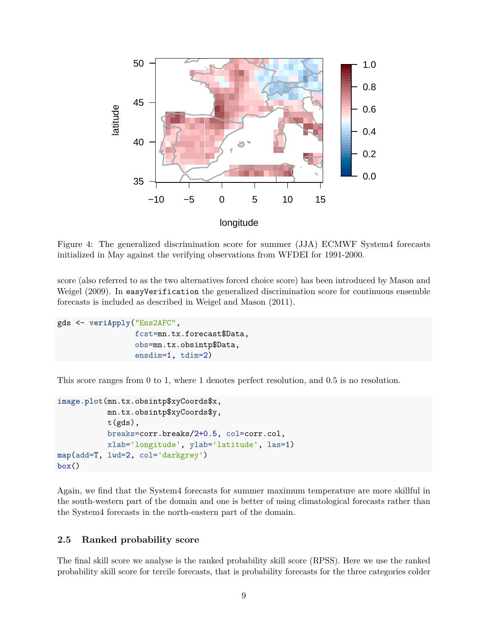

Figure 4: The generalized discrimination score for summer (JJA) ECMWF System4 forecasts initialized in May against the verifying observations from WFDEI for 1991-2000.

score (also referred to as the two alternatives forced choice score) has been introduced by Mason and Weigel (2009). In easyVerification the generalized discrimination score for continuous ensemble forecasts is included as described in Weigel and Mason (2011).

```
gds <- veriApply("Ens2AFC",
                 fcst=mn.tx.forecast$Data,
                 obs=mn.tx.obsintp$Data,
                 ensdim=1, tdim=2)
```
This score ranges from 0 to 1, where 1 denotes perfect resolution, and 0.5 is no resolution.

```
image.plot(mn.tx.obsintp$xyCoords$x,
           mn.tx.obsintp$xyCoords$y,
           t(gds),
           breaks=corr.breaks/2+0.5, col=corr.col,
           xlab='longitude', ylab='latitude', las=1)
map(add=T, lwd=2, col='darkgrey')
box()
```
Again, we find that the System4 forecasts for summer maximum temperature are more skillful in the south-western part of the domain and one is better of using climatological forecasts rather than the System4 forecasts in the north-eastern part of the domain.

#### <span id="page-8-0"></span>**2.5 Ranked probability score**

The final skill score we analyse is the ranked probability skill score (RPSS). Here we use the ranked probability skill score for tercile forecasts, that is probability forecasts for the three categories colder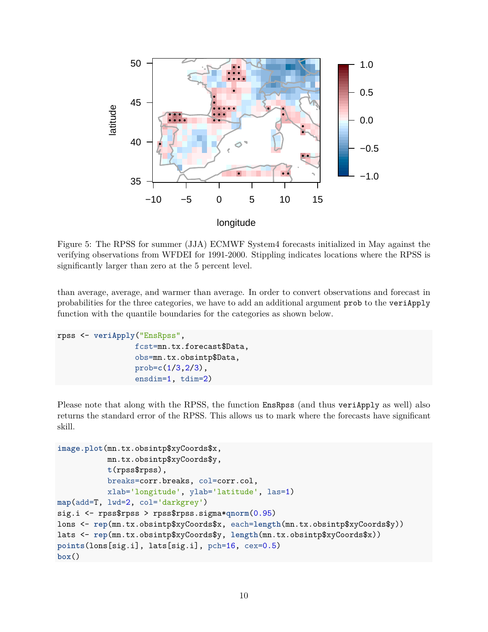

Figure 5: The RPSS for summer (JJA) ECMWF System4 forecasts initialized in May against the verifying observations from WFDEI for 1991-2000. Stippling indicates locations where the RPSS is significantly larger than zero at the 5 percent level.

than average, average, and warmer than average. In order to convert observations and forecast in probabilities for the three categories, we have to add an additional argument prob to the veriApply function with the quantile boundaries for the categories as shown below.

```
rpss <- veriApply("EnsRpss",
                 fcst=mn.tx.forecast$Data,
                 obs=mn.tx.obsintp$Data,
                 prob=c(1/3,2/3),
                 ensdim=1, tdim=2)
```
Please note that along with the RPSS, the function EnsRpss (and thus veriApply as well) also returns the standard error of the RPSS. This allows us to mark where the forecasts have significant skill.

```
image.plot(mn.tx.obsintp$xyCoords$x,
           mn.tx.obsintp$xyCoords$y,
           t(rpss$rpss),
           breaks=corr.breaks, col=corr.col,
           xlab='longitude', ylab='latitude', las=1)
map(add=T, lwd=2, col='darkgrey')
sig.i <- rpss$rpss > rpss$rpss.sigma*qnorm(0.95)
lons <- rep(mn.tx.obsintp$xyCoords$x, each=length(mn.tx.obsintp$xyCoords$y))
lats <- rep(mn.tx.obsintp$xyCoords$y, length(mn.tx.obsintp$xyCoords$x))
points(lons[sig.i], lats[sig.i], pch=16, cex=0.5)
box()
```